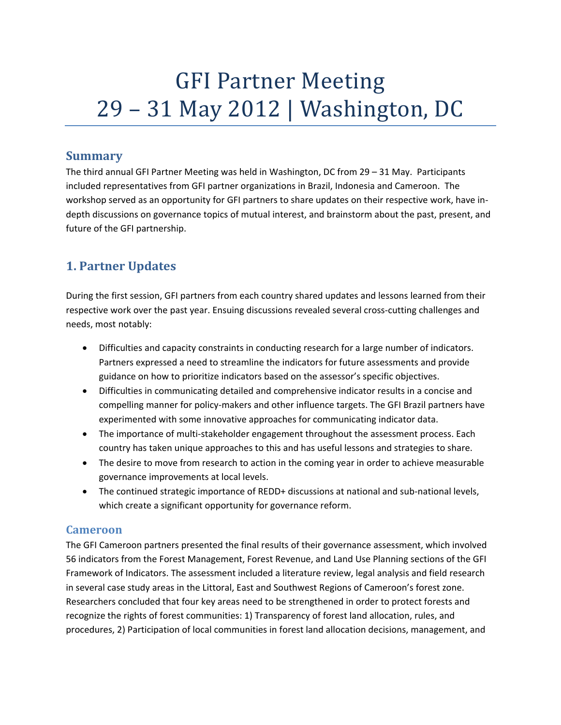# **GFI Partner Meeting** 29 - 31 May 2012 | Washington, DC

# **Summary**

The third annual GFI Partner Meeting was held in Washington, DC from 29 – 31 May. Participants included representatives from GFI partner organizations in Brazil, Indonesia and Cameroon. The workshop served as an opportunity for GFI partners to share updates on their respective work, have in‐ depth discussions on governance topics of mutual interest, and brainstorm about the past, present, and future of the GFI partnership.

# **1. Partner Updates**

During the first session, GFI partners from each country shared updates and lessons learned from their respective work over the past year. Ensuing discussions revealed several cross-cutting challenges and needs, most notably:

- Difficulties and capacity constraints in conducting research for a large number of indicators. Partners expressed a need to streamline the indicators for future assessments and provide guidance on how to prioritize indicators based on the assessor's specific objectives.
- Difficulties in communicating detailed and comprehensive indicator results in a concise and compelling manner for policy-makers and other influence targets. The GFI Brazil partners have experimented with some innovative approaches for communicating indicator data.
- The importance of multi-stakeholder engagement throughout the assessment process. Each country has taken unique approaches to this and has useful lessons and strategies to share.
- The desire to move from research to action in the coming year in order to achieve measurable governance improvements at local levels.
- The continued strategic importance of REDD+ discussions at national and sub-national levels, which create a significant opportunity for governance reform.

## **Cameroon**

The GFI Cameroon partners presented the final results of their governance assessment, which involved 56 indicators from the Forest Management, Forest Revenue, and Land Use Planning sections of the GFI Framework of Indicators. The assessment included a literature review, legal analysis and field research in several case study areas in the Littoral, East and Southwest Regions of Cameroon's forest zone. Researchers concluded that four key areas need to be strengthened in order to protect forests and recognize the rights of forest communities: 1) Transparency of forest land allocation, rules, and procedures, 2) Participation of local communities in forest land allocation decisions, management, and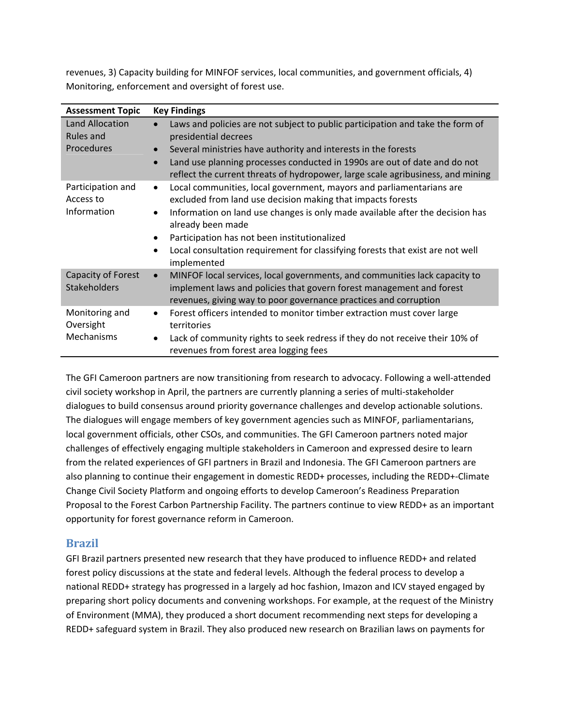revenues, 3) Capacity building for MINFOF services, local communities, and government officials, 4) Monitoring, enforcement and oversight of forest use.

| <b>Assessment Topic</b>        | <b>Key Findings</b>                                                                                                                                                       |
|--------------------------------|---------------------------------------------------------------------------------------------------------------------------------------------------------------------------|
| Land Allocation<br>Rules and   | Laws and policies are not subject to public participation and take the form of<br>$\bullet$<br>presidential decrees                                                       |
| Procedures                     | Several ministries have authority and interests in the forests<br>$\bullet$                                                                                               |
|                                | Land use planning processes conducted in 1990s are out of date and do not<br>$\bullet$<br>reflect the current threats of hydropower, large scale agribusiness, and mining |
| Participation and<br>Access to | Local communities, local government, mayors and parliamentarians are<br>$\bullet$<br>excluded from land use decision making that impacts forests                          |
| Information                    | Information on land use changes is only made available after the decision has<br>$\bullet$<br>already been made                                                           |
|                                | Participation has not been institutionalized<br>$\bullet$                                                                                                                 |
|                                | Local consultation requirement for classifying forests that exist are not well<br>$\bullet$<br>implemented                                                                |
| Capacity of Forest             | MINFOF local services, local governments, and communities lack capacity to<br>$\bullet$                                                                                   |
| <b>Stakeholders</b>            | implement laws and policies that govern forest management and forest                                                                                                      |
|                                | revenues, giving way to poor governance practices and corruption                                                                                                          |
| Monitoring and<br>Oversight    | Forest officers intended to monitor timber extraction must cover large<br>$\bullet$<br>territories                                                                        |
| Mechanisms                     | Lack of community rights to seek redress if they do not receive their 10% of<br>$\bullet$                                                                                 |
|                                | revenues from forest area logging fees                                                                                                                                    |

The GFI Cameroon partners are now transitioning from research to advocacy. Following a well‐attended civil society workshop in April, the partners are currently planning a series of multi‐stakeholder dialogues to build consensus around priority governance challenges and develop actionable solutions. The dialogues will engage members of key government agencies such as MINFOF, parliamentarians, local government officials, other CSOs, and communities. The GFI Cameroon partners noted major challenges of effectively engaging multiple stakeholders in Cameroon and expressed desire to learn from the related experiences of GFI partners in Brazil and Indonesia. The GFI Cameroon partners are also planning to continue their engagement in domestic REDD+ processes, including the REDD+‐Climate Change Civil Society Platform and ongoing efforts to develop Cameroon's Readiness Preparation Proposal to the Forest Carbon Partnership Facility. The partners continue to view REDD+ as an important opportunity for forest governance reform in Cameroon.

### **Brazil**

GFI Brazil partners presented new research that they have produced to influence REDD+ and related forest policy discussions at the state and federal levels. Although the federal process to develop a national REDD+ strategy has progressed in a largely ad hoc fashion, Imazon and ICV stayed engaged by preparing short policy documents and convening workshops. For example, at the request of the Ministry of Environment (MMA), they produced a short document recommending next steps for developing a REDD+ safeguard system in Brazil. They also produced new research on Brazilian laws on payments for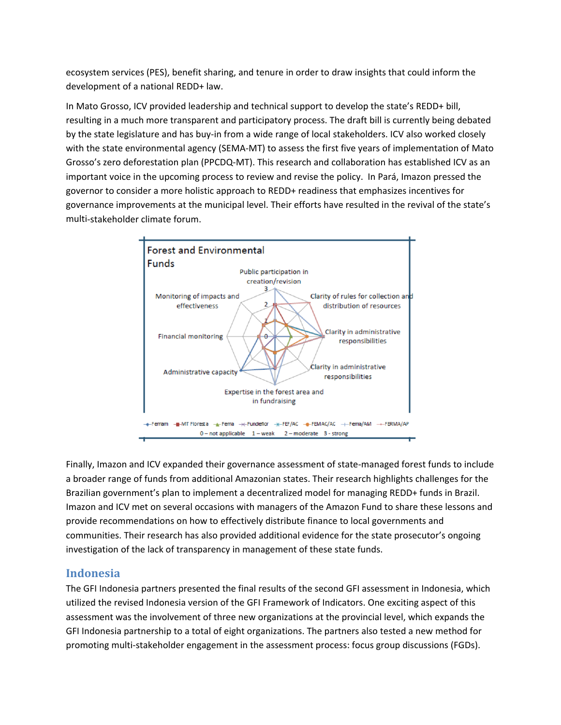ecosystem services (PES), benefit sharing, and tenure in order to draw insights that could inform the development of a national REDD+ law.

In Mato Grosso, ICV provided leadership and technical support to develop the state's REDD+ bill, resulting in a much more transparent and participatory process. The draft bill is currently being debated by the state legislature and has buy‐in from a wide range of local stakeholders. ICV also worked closely with the state environmental agency (SEMA-MT) to assess the first five years of implementation of Mato Grosso's zero deforestation plan (PPCDQ‐MT). This research and collaboration has established ICV as an important voice in the upcoming process to review and revise the policy. In Pará, Imazon pressed the governor to consider a more holistic approach to REDD+ readiness that emphasizes incentives for governance improvements at the municipal level. Their efforts have resulted in the revival of the state's multi‐stakeholder climate forum.



Finally, Imazon and ICV expanded their governance assessment of state‐managed forest funds to include a broader range of funds from additional Amazonian states. Their research highlights challenges for the Brazilian government's plan to implement a decentralized model for managing REDD+ funds in Brazil. Imazon and ICV met on several occasions with managers of the Amazon Fund to share these lessons and provide recommendations on how to effectively distribute finance to local governments and communities. Their research has also provided additional evidence for the state prosecutor's ongoing investigation of the lack of transparency in management of these state funds.

## **Indonesia**

The GFI Indonesia partners presented the final results of the second GFI assessment in Indonesia, which utilized the revised Indonesia version of the GFI Framework of Indicators. One exciting aspect of this assessment was the involvement of three new organizations at the provincial level, which expands the GFI Indonesia partnership to a total of eight organizations. The partners also tested a new method for promoting multi‐stakeholder engagement in the assessment process: focus group discussions (FGDs).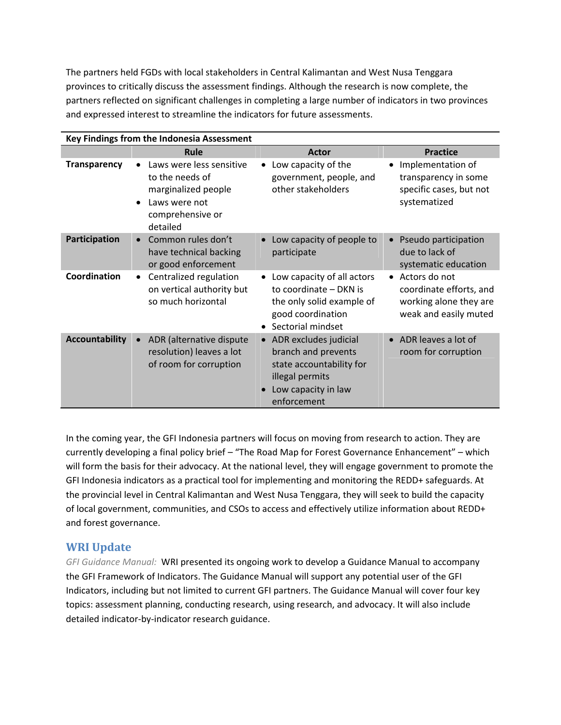The partners held FGDs with local stakeholders in Central Kalimantan and West Nusa Tenggara provinces to critically discuss the assessment findings. Although the research is now complete, the partners reflected on significant challenges in completing a large number of indicators in two provinces and expressed interest to streamline the indicators for future assessments.

| Key Findings from the Indonesia Assessment |                                                                                                                                  |                                                                                                                                     |                                                                                               |  |  |
|--------------------------------------------|----------------------------------------------------------------------------------------------------------------------------------|-------------------------------------------------------------------------------------------------------------------------------------|-----------------------------------------------------------------------------------------------|--|--|
|                                            | Rule                                                                                                                             | <b>Actor</b>                                                                                                                        | <b>Practice</b>                                                                               |  |  |
| <b>Transparency</b>                        | Laws were less sensitive<br>to the needs of<br>marginalized people<br>Laws were not<br>$\bullet$<br>comprehensive or<br>detailed | Low capacity of the<br>government, people, and<br>other stakeholders                                                                | Implementation of<br>transparency in some<br>specific cases, but not<br>systematized          |  |  |
| Participation                              | Common rules don't<br>have technical backing<br>or good enforcement                                                              | Low capacity of people to<br>participate                                                                                            | Pseudo participation<br>due to lack of<br>systematic education                                |  |  |
| Coordination                               | Centralized regulation<br>$\bullet$<br>on vertical authority but<br>so much horizontal                                           | Low capacity of all actors<br>to coordinate - DKN is<br>the only solid example of<br>good coordination<br>Sectorial mindset         | • Actors do not<br>coordinate efforts, and<br>working alone they are<br>weak and easily muted |  |  |
| <b>Accountability</b>                      | ADR (alternative dispute<br>resolution) leaves a lot<br>of room for corruption                                                   | • ADR excludes judicial<br>branch and prevents<br>state accountability for<br>illegal permits<br>Low capacity in law<br>enforcement | • ADR leaves a lot of<br>room for corruption                                                  |  |  |

In the coming year, the GFI Indonesia partners will focus on moving from research to action. They are currently developing a final policy brief – "The Road Map for Forest Governance Enhancement" – which will form the basis for their advocacy. At the national level, they will engage government to promote the GFI Indonesia indicators as a practical tool for implementing and monitoring the REDD+ safeguards. At the provincial level in Central Kalimantan and West Nusa Tenggara, they will seek to build the capacity of local government, communities, and CSOs to access and effectively utilize information about REDD+ and forest governance.

## **WRI Update**

*GFI Guidance Manual:* WRI presented its ongoing work to develop a Guidance Manual to accompany the GFI Framework of Indicators. The Guidance Manual will support any potential user of the GFI Indicators, including but not limited to current GFI partners. The Guidance Manual will cover four key topics: assessment planning, conducting research, using research, and advocacy. It will also include detailed indicator‐by‐indicator research guidance.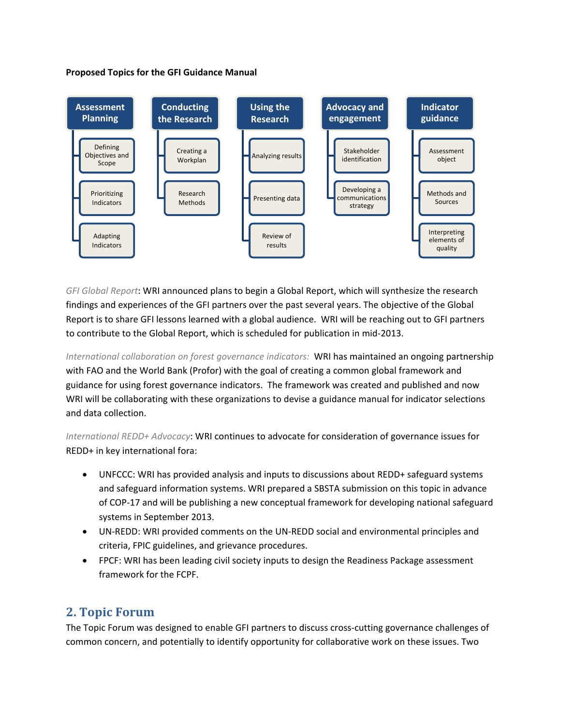#### **Proposed Topics for the GFI Guidance Manual**



*GFI Global Report*: WRI announced plans to begin a Global Report, which will synthesize the research findings and experiences of the GFI partners over the past several years. The objective of the Global Report is to share GFI lessons learned with a global audience. WRI will be reaching out to GFI partners to contribute to the Global Report, which is scheduled for publication in mid‐2013.

*International collaboration on forest governance indicators:* WRI has maintained an ongoing partnership with FAO and the World Bank (Profor) with the goal of creating a common global framework and guidance for using forest governance indicators. The framework was created and published and now WRI will be collaborating with these organizations to devise a guidance manual for indicator selections and data collection.

*International REDD+ Advocacy*: WRI continues to advocate for consideration of governance issues for REDD+ in key international fora:

- UNFCCC: WRI has provided analysis and inputs to discussions about REDD+ safeguard systems and safeguard information systems. WRI prepared a SBSTA submission on this topic in advance of COP‐17 and will be publishing a new conceptual framework for developing national safeguard systems in September 2013.
- UN-REDD: WRI provided comments on the UN-REDD social and environmental principles and criteria, FPIC guidelines, and grievance procedures.
- FPCF: WRI has been leading civil society inputs to design the Readiness Package assessment framework for the FCPF.

# **2. Topic Forum**

The Topic Forum was designed to enable GFI partners to discuss cross-cutting governance challenges of common concern, and potentially to identify opportunity for collaborative work on these issues. Two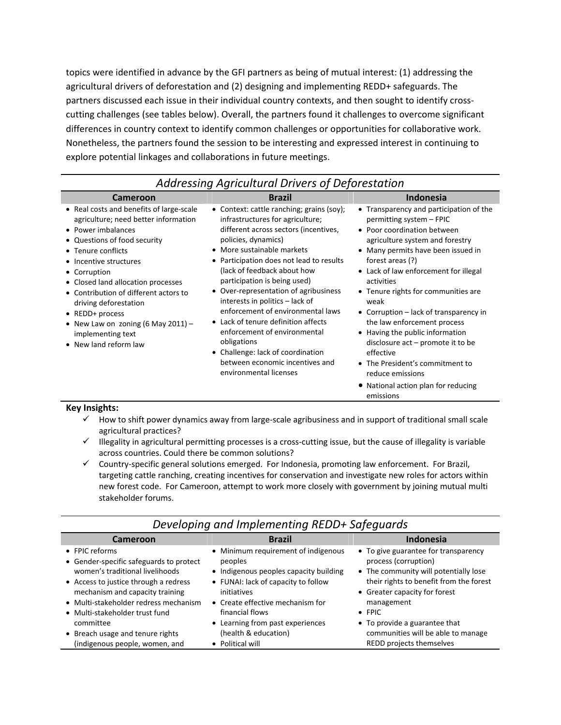topics were identified in advance by the GFI partners as being of mutual interest: (1) addressing the agricultural drivers of deforestation and (2) designing and implementing REDD+ safeguards. The partners discussed each issue in their individual country contexts, and then sought to identify crosscutting challenges (see tables below). Overall, the partners found it challenges to overcome significant differences in country context to identify common challenges or opportunities for collaborative work. Nonetheless, the partners found the session to be interesting and expressed interest in continuing to explore potential linkages and collaborations in future meetings.

| Addressing Agricultural Drivers of Deforestation                                                                                                                                                                                                                                                                                                                                                                        |                                                                                                                                                                                                                                                                                                                                                                                                                                                                                                                                                                                                 |                                                                                                                                                                                                                                                                                                                                                                                                                                                                                                                                                                                    |  |  |  |
|-------------------------------------------------------------------------------------------------------------------------------------------------------------------------------------------------------------------------------------------------------------------------------------------------------------------------------------------------------------------------------------------------------------------------|-------------------------------------------------------------------------------------------------------------------------------------------------------------------------------------------------------------------------------------------------------------------------------------------------------------------------------------------------------------------------------------------------------------------------------------------------------------------------------------------------------------------------------------------------------------------------------------------------|------------------------------------------------------------------------------------------------------------------------------------------------------------------------------------------------------------------------------------------------------------------------------------------------------------------------------------------------------------------------------------------------------------------------------------------------------------------------------------------------------------------------------------------------------------------------------------|--|--|--|
| <b>Cameroon</b>                                                                                                                                                                                                                                                                                                                                                                                                         | <b>Brazil</b>                                                                                                                                                                                                                                                                                                                                                                                                                                                                                                                                                                                   | <b>Indonesia</b>                                                                                                                                                                                                                                                                                                                                                                                                                                                                                                                                                                   |  |  |  |
| • Real costs and benefits of large-scale<br>agriculture; need better information<br>• Power imbalances<br>• Questions of food security<br>• Tenure conflicts<br>• Incentive structures<br>• Corruption<br>• Closed land allocation processes<br>• Contribution of different actors to<br>driving deforestation<br>• REDD+ process<br>• New Law on zoning (6 May 2011) $-$<br>implementing text<br>• New land reform law | • Context: cattle ranching; grains (soy);<br>infrastructures for agriculture;<br>different across sectors (incentives,<br>policies, dynamics)<br>• More sustainable markets<br>• Participation does not lead to results<br>(lack of feedback about how<br>participation is being used)<br>• Over-representation of agribusiness<br>interests in politics – lack of<br>enforcement of environmental laws<br>• Lack of tenure definition affects<br>enforcement of environmental<br>obligations<br>• Challenge: lack of coordination<br>between economic incentives and<br>environmental licenses | • Transparency and participation of the<br>permitting system - FPIC<br>• Poor coordination between<br>agriculture system and forestry<br>• Many permits have been issued in<br>forest areas (?)<br>• Lack of law enforcement for illegal<br>activities<br>• Tenure rights for communities are<br>weak<br>• Corruption $-$ lack of transparency in<br>the law enforcement process<br>• Having the public information<br>disclosure $act$ – promote it to be<br>effective<br>• The President's commitment to<br>reduce emissions<br>• National action plan for reducing<br>emissions |  |  |  |

#### **Key Insights:**

- $\checkmark$  How to shift power dynamics away from large-scale agribusiness and in support of traditional small scale agricultural practices?
- $\checkmark$  Illegality in agricultural permitting processes is a cross-cutting issue, but the cause of illegality is variable across countries. Could there be common solutions?
- $\checkmark$  Country-specific general solutions emerged. For Indonesia, promoting law enforcement. For Brazil, targeting cattle ranching, creating incentives for conservation and investigate new roles for actors within new forest code. For Cameroon, attempt to work more closely with government by joining mutual multi stakeholder forums.

| Developing and implementing REDD+ Safeguards |                                        |                                         |  |  |  |
|----------------------------------------------|----------------------------------------|-----------------------------------------|--|--|--|
| Cameroon                                     | <b>Brazil</b>                          | <b>Indonesia</b>                        |  |  |  |
| • FPIC reforms                               | • Minimum requirement of indigenous    | • To give guarantee for transparency    |  |  |  |
| • Gender-specific safeguards to protect      | peoples                                | process (corruption)                    |  |  |  |
| women's traditional livelihoods              | • Indigenous peoples capacity building | • The community will potentially lose   |  |  |  |
| • Access to justice through a redress        | • FUNAI: lack of capacity to follow    | their rights to benefit from the forest |  |  |  |
| mechanism and capacity training              | initiatives                            | • Greater capacity for forest           |  |  |  |
| • Multi-stakeholder redress mechanism        | • Create effective mechanism for       | management                              |  |  |  |
| • Multi-stakeholder trust fund               | financial flows                        | $\bullet$ FPIC                          |  |  |  |
| committee                                    | • Learning from past experiences       | • To provide a guarantee that           |  |  |  |
| • Breach usage and tenure rights             | (health & education)                   | communities will be able to manage      |  |  |  |
| (indigenous people, women, and               | • Political will                       | REDD projects themselves                |  |  |  |

# *Developing and Implementing REDD+ Safeguards*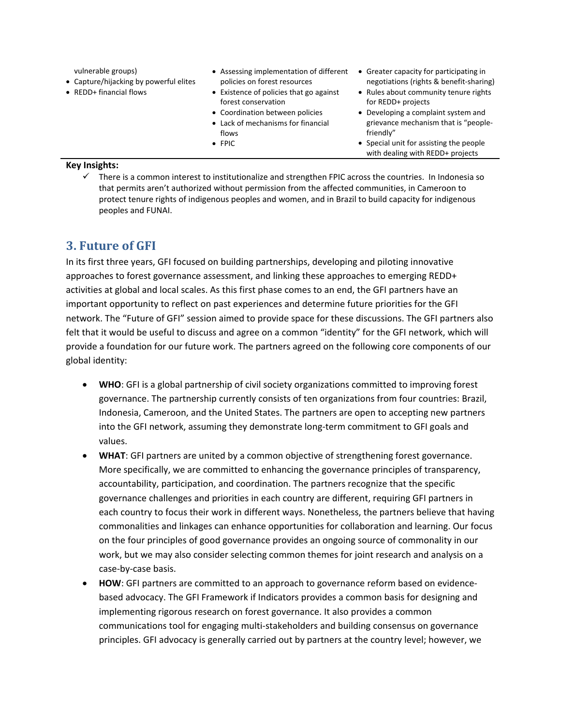vulnerable groups)

- Capture/hijacking by powerful elites
- REDD+ financial flows
- Assessing implementation of different Greater capacity for participating in policies on forest resources
- Existence of policies that go against forest conservation
- Coordination between policies
- Lack of mechanisms for financial flows
- FPIC
- negotiations (rights & benefit‐sharing)
- Rules about community tenure rights for REDD+ projects
- Developing a complaint system and grievance mechanism that is "people‐ friendly"
- Special unit for assisting the people with dealing with REDD+ projects

#### **Key Insights:**

 $\checkmark$  There is a common interest to institutionalize and strengthen FPIC across the countries. In Indonesia so that permits aren't authorized without permission from the affected communities, in Cameroon to protect tenure rights of indigenous peoples and women, and in Brazil to build capacity for indigenous peoples and FUNAI.

# **3. Future of GFI**

In its first three years, GFI focused on building partnerships, developing and piloting innovative approaches to forest governance assessment, and linking these approaches to emerging REDD+ activities at global and local scales. As this first phase comes to an end, the GFI partners have an important opportunity to reflect on past experiences and determine future priorities for the GFI network. The "Future of GFI" session aimed to provide space for these discussions. The GFI partners also felt that it would be useful to discuss and agree on a common "identity" for the GFI network, which will provide a foundation for our future work. The partners agreed on the following core components of our global identity:

- **WHO**: GFI is a global partnership of civil society organizations committed to improving forest governance. The partnership currently consists of ten organizations from four countries: Brazil, Indonesia, Cameroon, and the United States. The partners are open to accepting new partners into the GFI network, assuming they demonstrate long‐term commitment to GFI goals and values.
- **WHAT**: GFI partners are united by a common objective of strengthening forest governance. More specifically, we are committed to enhancing the governance principles of transparency, accountability, participation, and coordination. The partners recognize that the specific governance challenges and priorities in each country are different, requiring GFI partners in each country to focus their work in different ways. Nonetheless, the partners believe that having commonalities and linkages can enhance opportunities for collaboration and learning. Our focus on the four principles of good governance provides an ongoing source of commonality in our work, but we may also consider selecting common themes for joint research and analysis on a case‐by‐case basis.
- **HOW**: GFI partners are committed to an approach to governance reform based on evidence‐ based advocacy. The GFI Framework if Indicators provides a common basis for designing and implementing rigorous research on forest governance. It also provides a common communications tool for engaging multi‐stakeholders and building consensus on governance principles. GFI advocacy is generally carried out by partners at the country level; however, we